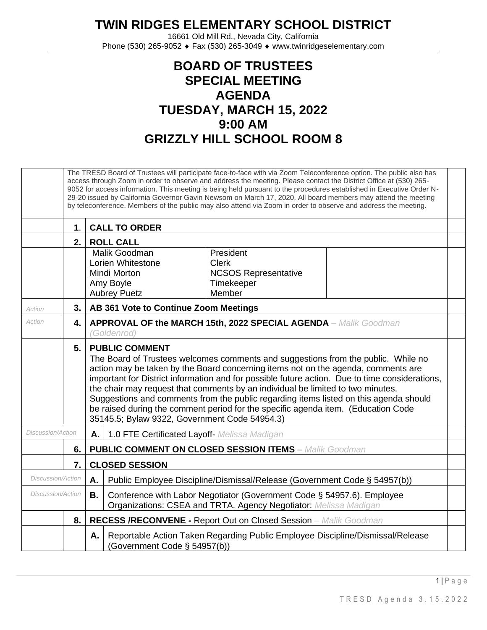## **TWIN RIDGES ELEMENTARY SCHOOL DISTRICT**

16661 Old Mill Rd., Nevada City, California Phone (530) 265-9052 ♦ Fax (530) 265-3049 ♦ www.twinridgeselementary.com

## **BOARD OF TRUSTEES SPECIAL MEETING AGENDA TUESDAY, MARCH 15, 2022 9:00 AM GRIZZLY HILL SCHOOL ROOM 8**

|                          |               | The TRESD Board of Trustees will participate face-to-face with via Zoom Teleconference option. The public also has<br>access through Zoom in order to observe and address the meeting. Please contact the District Office at (530) 265-<br>9052 for access information. This meeting is being held pursuant to the procedures established in Executive Order N-<br>29-20 issued by California Governor Gavin Newsom on March 17, 2020. All board members may attend the meeting<br>by teleconference. Members of the public may also attend via Zoom in order to observe and address the meeting.                   |  |  |  |  |
|--------------------------|---------------|---------------------------------------------------------------------------------------------------------------------------------------------------------------------------------------------------------------------------------------------------------------------------------------------------------------------------------------------------------------------------------------------------------------------------------------------------------------------------------------------------------------------------------------------------------------------------------------------------------------------|--|--|--|--|
|                          | $\mathbf 1$ . | <b>CALL TO ORDER</b>                                                                                                                                                                                                                                                                                                                                                                                                                                                                                                                                                                                                |  |  |  |  |
|                          | 2.            | <b>ROLL CALL</b>                                                                                                                                                                                                                                                                                                                                                                                                                                                                                                                                                                                                    |  |  |  |  |
|                          |               | Malik Goodman<br>President<br>Lorien Whitestone<br><b>Clerk</b><br><b>NCSOS Representative</b><br>Mindi Morton<br>Amy Boyle<br>Timekeeper<br>Member<br><b>Aubrey Puetz</b>                                                                                                                                                                                                                                                                                                                                                                                                                                          |  |  |  |  |
| Action                   | 3.            | AB 361 Vote to Continue Zoom Meetings                                                                                                                                                                                                                                                                                                                                                                                                                                                                                                                                                                               |  |  |  |  |
| Action                   | 4.            | <b>APPROVAL OF the MARCH 15th, 2022 SPECIAL AGENDA</b> – Malik Goodman<br>(Goldenrod)                                                                                                                                                                                                                                                                                                                                                                                                                                                                                                                               |  |  |  |  |
|                          | 5.            | <b>PUBLIC COMMENT</b><br>The Board of Trustees welcomes comments and suggestions from the public. While no<br>action may be taken by the Board concerning items not on the agenda, comments are<br>important for District information and for possible future action. Due to time considerations,<br>the chair may request that comments by an individual be limited to two minutes.<br>Suggestions and comments from the public regarding items listed on this agenda should<br>be raised during the comment period for the specific agenda item. (Education Code<br>35145.5; Bylaw 9322, Government Code 54954.3) |  |  |  |  |
| <b>Discussion/Action</b> |               | 1.0 FTE Certificated Layoff- Melissa Madigan<br>Α.                                                                                                                                                                                                                                                                                                                                                                                                                                                                                                                                                                  |  |  |  |  |
|                          | 6.            | <b>PUBLIC COMMENT ON CLOSED SESSION ITEMS - Malik Goodman</b>                                                                                                                                                                                                                                                                                                                                                                                                                                                                                                                                                       |  |  |  |  |
| 7.                       |               | <b>CLOSED SESSION</b>                                                                                                                                                                                                                                                                                                                                                                                                                                                                                                                                                                                               |  |  |  |  |
| Discussion/Action        |               | Α.<br>Public Employee Discipline/Dismissal/Release (Government Code § 54957(b))                                                                                                                                                                                                                                                                                                                                                                                                                                                                                                                                     |  |  |  |  |
| <b>Discussion/Action</b> |               | Conference with Labor Negotiator (Government Code § 54957.6). Employee<br>В.<br>Organizations: CSEA and TRTA. Agency Negotiator: Melissa Madigan                                                                                                                                                                                                                                                                                                                                                                                                                                                                    |  |  |  |  |
|                          | 8.            | <b>RECESS /RECONVENE - Report Out on Closed Session</b> - Malik Goodman                                                                                                                                                                                                                                                                                                                                                                                                                                                                                                                                             |  |  |  |  |
|                          |               | Reportable Action Taken Regarding Public Employee Discipline/Dismissal/Release<br>А.<br>(Government Code § 54957(b))                                                                                                                                                                                                                                                                                                                                                                                                                                                                                                |  |  |  |  |